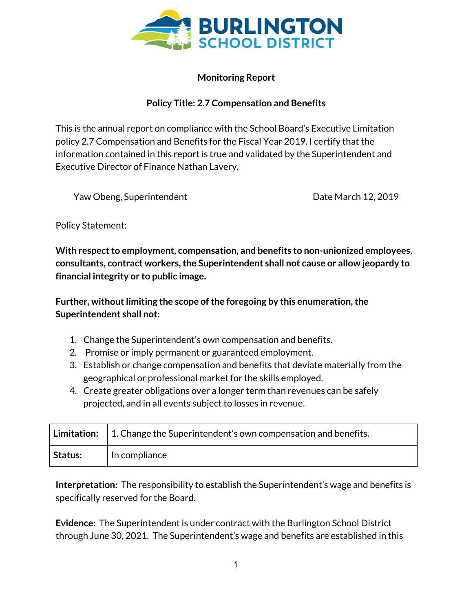

## **Monitoring Report**

## **Policy Title: 2.7 Compensation and Benefits**

This is the annual report on compliance with the School Board's Executive Limitation policy 2.7 Compensation and Benefits for the Fiscal Year 2019. I certify that the information contained in this report is true and validated by the Superintendent and Executive Director of Finance Nathan Lavery.

Yaw Obeng, Superintendent National Control of Date March 12, 2019

Policy Statement:

**With** respect to employment, compensation, and benefits to non-unionized employees, **consultants, contract workers,the Superintendent shall not cause or allow jeopardy to financial integrity or to public image.**

**Further, without limiting the scope of the foregoing by this enumeration, the Superintendent shall not:**

- 1. Change the Superintendent's own compensation and benefits.
- 2. Promise or imply permanent or guaranteed employment.
- 3. Establish or change compensation and benefits that deviate materially from the geographical or professional market for the skills employed.
- 4. Create greater obligations over a longer term than revenues can be safely projected, and in all events subject to losses in revenue.

|         | <b>Limitation:</b> $\vert$ 1. Change the Superintendent's own compensation and benefits. |
|---------|------------------------------------------------------------------------------------------|
| Status: | In compliance                                                                            |

**Interpretation:** The responsibility to establish the Superintendent's wage and benefits is specifically reserved for the Board.

**Evidence:** The Superintendent is under contract with the Burlington School District through June 30, 2021. The Superintendent's wage and benefits are established in this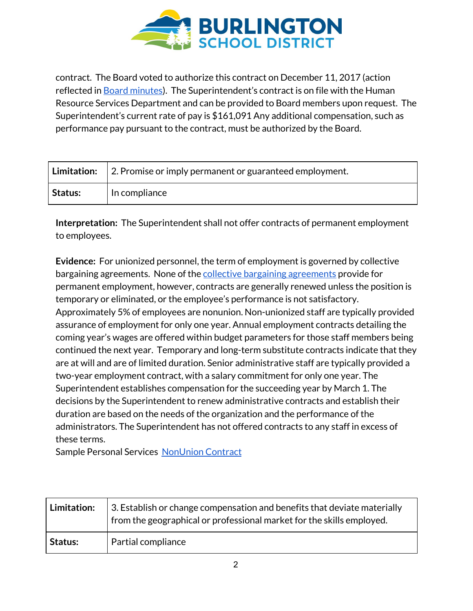

contract. The Board voted to authorize this contract on December 11, 2017 (action reflected in Board [minutes\)](http://www.bsdvt.org/wp-content/uploads/2018/02/December-11-2017-Full-School-Board-Meeting-Minutes-1.pdf). The Superintendent's contract is on file with the Human Resource Services Department and can be provided to Board members upon request. The Superintendent's current rate of pay is \$161,091 Any additional compensation, such as performance pay pursuant to the contract, must be authorized by the Board.

|         | <b>Limitation:</b> 2. Promise or imply permanent or guaranteed employment. |
|---------|----------------------------------------------------------------------------|
| Status: | In compliance                                                              |

**Interpretation:** The Superintendent shall not offer contracts of permanent employment to employees.

**Evidence:** For unionized personnel, the term of employment is governed by collective bargaining agreements. None of the collective bargaining [agreements](http://www.bsdvt.org/master-agreements/) provide for permanent employment, however, contracts are generally renewed unless the position is temporary or eliminated, or the employee's performance is not satisfactory. Approximately 5% of employees are nonunion. Non-unionized staff are typically provided assurance of employment for only one year. Annual employment contracts detailing the coming year's wages are offered within budget parameters for those staff members being continued the next year. Temporary and long-term substitute contracts indicate that they are at will and are of limited duration. Senior administrative staff are typically provided a two-year employment contract, with a salary commitment for only one year. The Superintendent establishes compensation for the succeeding year by March 1. The decisions by the Superintendent to renew administrative contracts and establish their duration are based on the needs of the organization and the performance of the administrators. The Superintendent has not offered contracts to any staff in excess of these terms.

Sample Personal Services [NonUnion](https://drive.google.com/open?id=1He7vUDpb8T2BiwU47YtqStm5wmzfHcFd) Contract

| Limitation: | 3. Establish or change compensation and benefits that deviate materially<br>from the geographical or professional market for the skills employed. |
|-------------|---------------------------------------------------------------------------------------------------------------------------------------------------|
| Status:     | Partial compliance                                                                                                                                |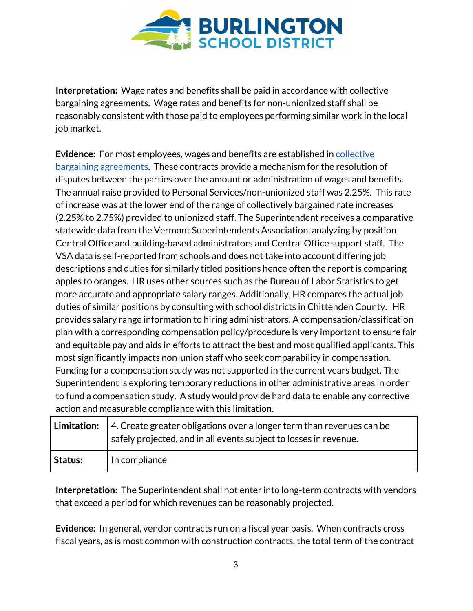

**Interpretation:** Wage rates and benefits shall be paid in accordance with collective bargaining agreements. Wage rates and benefits for non-unionized staff shall be reasonably consistent with those paid to employees performing similar work in the local job market.

**Evidence:** For most employees, wages and benefits are established in [collective](http://www.bsdvt.org/master-agreements/) bargaining [agreements.](http://www.bsdvt.org/master-agreements/) These contracts provide a mechanism for the resolution of disputes between the parties over the amount or administration of wages and benefits. The annual raise provided to Personal Services/non-unionized staff was 2.25%. This rate of increase was at the lower end of the range of collectively bargained rate increases (2.25% to 2.75%) provided to unionized staff. The Superintendent receives a comparative statewide data from the Vermont Superintendents Association, analyzing by position Central Office and building-based administrators and Central Office support staff. The VSA data is self-reported from schools and does not take into account differing job descriptions and duties for similarly titled positions hence often the report is comparing apples to oranges. HR uses other sources such as the Bureau of Labor Statistics to get more accurate and appropriate salary ranges. Additionally, HR compares the actual job duties of similar positions by consulting with school districts in Chittenden County. HR provides salary range information to hiring administrators. A compensation/classification plan with a corresponding compensation policy/procedure is very important to ensure fair and equitable pay and aids in efforts to attract the best and most qualified applicants. This most significantly impacts non-union staff who seek comparability in compensation. Funding for a compensation study was not supported in the current years budget. The Superintendent is exploring temporary reductions in other administrative areas in order to fund a compensation study. A study would provide hard data to enable any corrective action and measurable compliance with this limitation.

|         | <b>Limitation:</b> $\vert$ 4. Create greater obligations over a longer term than revenues can be<br>safely projected, and in all events subject to losses in revenue. |
|---------|-----------------------------------------------------------------------------------------------------------------------------------------------------------------------|
| Status: | In compliance                                                                                                                                                         |

**Interpretation:** The Superintendent shall not enter into long-term contracts with vendors that exceed a period for which revenues can be reasonably projected.

**Evidence:** In general, vendor contracts run on a fiscal year basis. When contracts cross fiscal years, as is most common with construction contracts, the total term of the contract